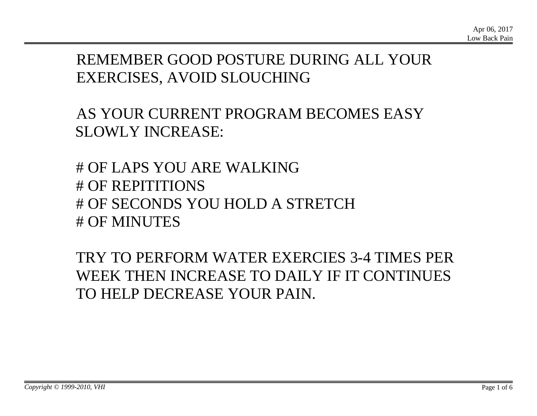# REMEMBER GOOD POSTURE DURING ALL YOUR EXERCISES, AVOID SLOUCHING

AS YOUR CURRENT PROGRAM BECOMES EASY SLOWLY INCREASE:

# OF LAPS YOU ARE WALKING # OF REPITITIONS # OF SECONDS YOU HOLD A STRETCH # OF MINUTES

TRY TO PERFORM WATER EXERCIES 3-4 TIMES PER WEEK THEN INCREASE TO DAILY IF IT CONTINUES TO HELP DECREASE YOUR PAIN.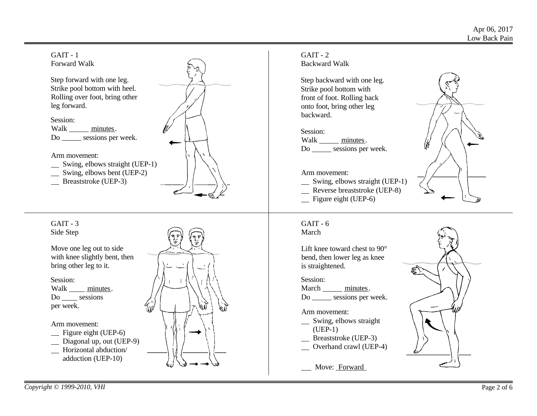



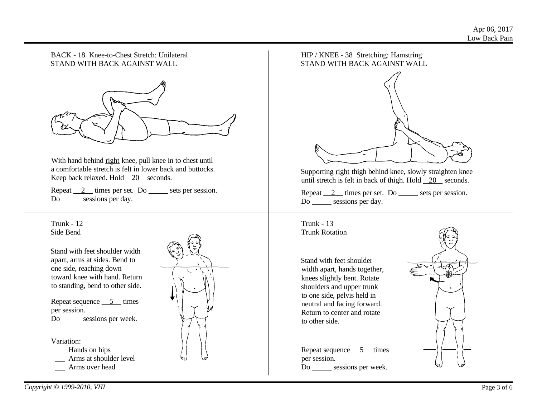### BACK - 18 Knee-to-Chest Stretch: Unilateral STAND WITH BACK AGAINST WALL



With hand behind right knee, pull knee in to chest until a comfortable stretch is felt in lower back and buttocks. Keep back relaxed. Hold 20 seconds.

Repeat  $2$  times per set. Do sets per session. Do \_\_\_\_\_\_\_ sessions per day.

Trunk - 12 Side Bend

Stand with feet shoulder width apart, arms at sides. Bend to one side, reaching down toward knee with hand. Return to standing, bend to other side.

Repeat sequence  $\overline{\phantom{0}}$  5 times per session. Do \_\_\_\_\_\_ sessions per week.

Variation:

- Hands on hips
- **Arms** at shoulder level
- Arms over head



## HIP / KNEE - 38 Stretching: Hamstring STAND WITH BACK AGAINST WALL



Supporting right thigh behind knee, slowly straighten knee until stretch is felt in back of thigh. Hold 20 seconds.

Repeat  $2$  times per set. Do sets per session. Do sessions per day.

Trunk - 13 Trunk Rotation

Stand with feet shoulder width apart, hands together, knees slightly bent. Rotate shoulders and upper trunk to one side, pelvis held in neutral and facing forward. Return to center and rotate to other side.

Repeat sequence  $\overline{\phantom{0}}$  5 times per session. Do \_\_\_\_\_\_ sessions per week.

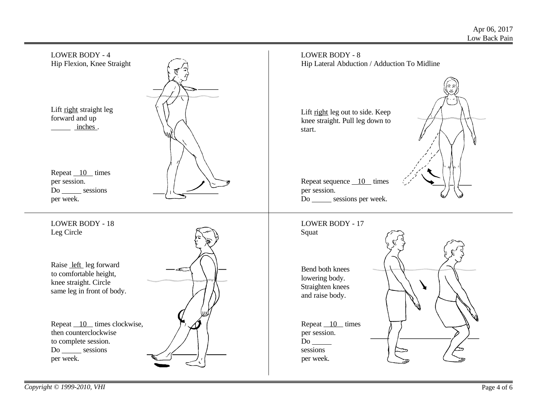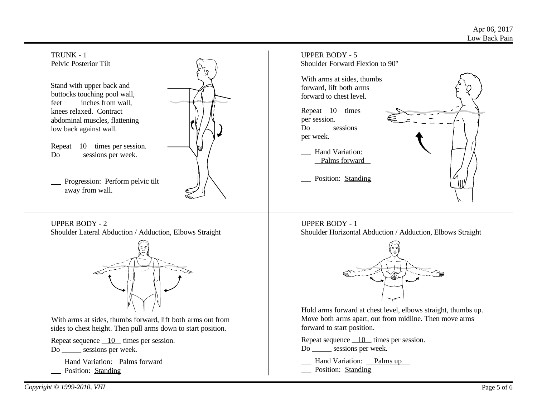